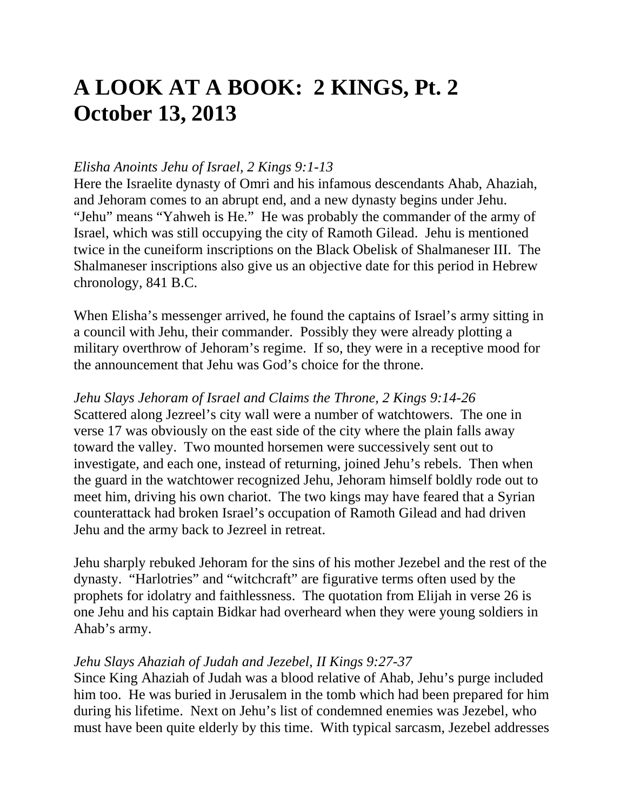# **A LOOK AT A BOOK: 2 KINGS, Pt. 2 October 13, 2013**

## *Elisha Anoints Jehu of Israel, 2 Kings 9:1-13*

Here the Israelite dynasty of Omri and his infamous descendants Ahab, Ahaziah, and Jehoram comes to an abrupt end, and a new dynasty begins under Jehu. "Jehu" means "Yahweh is He." He was probably the commander of the army of Israel, which was still occupying the city of Ramoth Gilead. Jehu is mentioned twice in the cuneiform inscriptions on the Black Obelisk of Shalmaneser III. The Shalmaneser inscriptions also give us an objective date for this period in Hebrew chronology, 841 B.C.

When Elisha's messenger arrived, he found the captains of Israel's army sitting in a council with Jehu, their commander. Possibly they were already plotting a military overthrow of Jehoram's regime. If so, they were in a receptive mood for the announcement that Jehu was God's choice for the throne.

## *Jehu Slays Jehoram of Israel and Claims the Throne, 2 Kings 9:14-26*

Scattered along Jezreel's city wall were a number of watchtowers. The one in verse 17 was obviously on the east side of the city where the plain falls away toward the valley. Two mounted horsemen were successively sent out to investigate, and each one, instead of returning, joined Jehu's rebels. Then when the guard in the watchtower recognized Jehu, Jehoram himself boldly rode out to meet him, driving his own chariot. The two kings may have feared that a Syrian counterattack had broken Israel's occupation of Ramoth Gilead and had driven Jehu and the army back to Jezreel in retreat.

Jehu sharply rebuked Jehoram for the sins of his mother Jezebel and the rest of the dynasty. "Harlotries" and "witchcraft" are figurative terms often used by the prophets for idolatry and faithlessness. The quotation from Elijah in verse 26 is one Jehu and his captain Bidkar had overheard when they were young soldiers in Ahab's army.

## *Jehu Slays Ahaziah of Judah and Jezebel, II Kings 9:27-37*

Since King Ahaziah of Judah was a blood relative of Ahab, Jehu's purge included him too. He was buried in Jerusalem in the tomb which had been prepared for him during his lifetime. Next on Jehu's list of condemned enemies was Jezebel, who must have been quite elderly by this time. With typical sarcasm, Jezebel addresses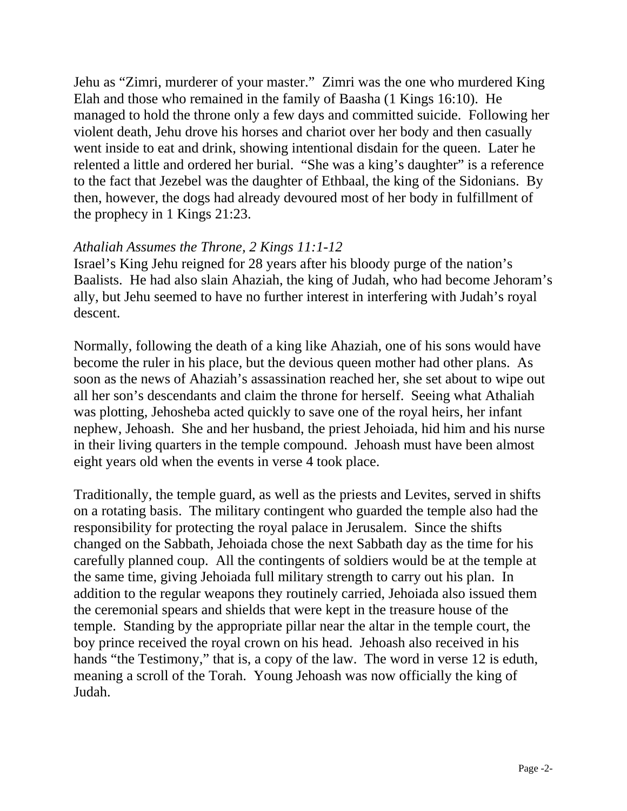Jehu as "Zimri, murderer of your master." Zimri was the one who murdered King Elah and those who remained in the family of Baasha (1 Kings 16:10). He managed to hold the throne only a few days and committed suicide. Following her violent death, Jehu drove his horses and chariot over her body and then casually went inside to eat and drink, showing intentional disdain for the queen. Later he relented a little and ordered her burial. "She was a king's daughter" is a reference to the fact that Jezebel was the daughter of Ethbaal, the king of the Sidonians. By then, however, the dogs had already devoured most of her body in fulfillment of the prophecy in 1 Kings 21:23.

#### *Athaliah Assumes the Throne, 2 Kings 11:1-12*

Israel's King Jehu reigned for 28 years after his bloody purge of the nation's Baalists. He had also slain Ahaziah, the king of Judah, who had become Jehoram's ally, but Jehu seemed to have no further interest in interfering with Judah's royal descent.

Normally, following the death of a king like Ahaziah, one of his sons would have become the ruler in his place, but the devious queen mother had other plans. As soon as the news of Ahaziah's assassination reached her, she set about to wipe out all her son's descendants and claim the throne for herself. Seeing what Athaliah was plotting, Jehosheba acted quickly to save one of the royal heirs, her infant nephew, Jehoash. She and her husband, the priest Jehoiada, hid him and his nurse in their living quarters in the temple compound. Jehoash must have been almost eight years old when the events in verse 4 took place.

Traditionally, the temple guard, as well as the priests and Levites, served in shifts on a rotating basis. The military contingent who guarded the temple also had the responsibility for protecting the royal palace in Jerusalem. Since the shifts changed on the Sabbath, Jehoiada chose the next Sabbath day as the time for his carefully planned coup. All the contingents of soldiers would be at the temple at the same time, giving Jehoiada full military strength to carry out his plan. In addition to the regular weapons they routinely carried, Jehoiada also issued them the ceremonial spears and shields that were kept in the treasure house of the temple. Standing by the appropriate pillar near the altar in the temple court, the boy prince received the royal crown on his head. Jehoash also received in his hands "the Testimony," that is, a copy of the law. The word in verse 12 is eduth, meaning a scroll of the Torah. Young Jehoash was now officially the king of Judah.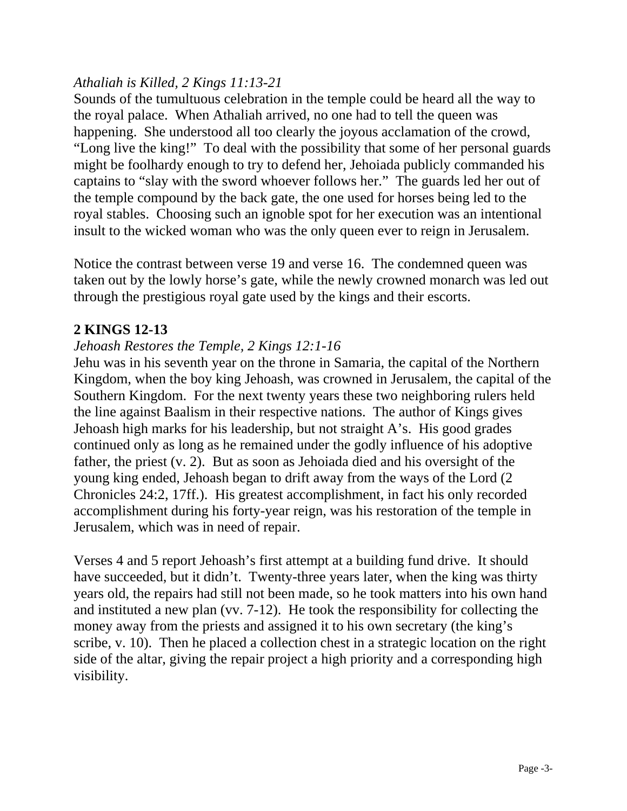## *Athaliah is Killed, 2 Kings 11:13-21*

Sounds of the tumultuous celebration in the temple could be heard all the way to the royal palace. When Athaliah arrived, no one had to tell the queen was happening. She understood all too clearly the joyous acclamation of the crowd, "Long live the king!" To deal with the possibility that some of her personal guards might be foolhardy enough to try to defend her, Jehoiada publicly commanded his captains to "slay with the sword whoever follows her." The guards led her out of the temple compound by the back gate, the one used for horses being led to the royal stables. Choosing such an ignoble spot for her execution was an intentional insult to the wicked woman who was the only queen ever to reign in Jerusalem.

Notice the contrast between verse 19 and verse 16. The condemned queen was taken out by the lowly horse's gate, while the newly crowned monarch was led out through the prestigious royal gate used by the kings and their escorts.

## **2 KINGS 12-13**

## *Jehoash Restores the Temple, 2 Kings 12:1-16*

Jehu was in his seventh year on the throne in Samaria, the capital of the Northern Kingdom, when the boy king Jehoash, was crowned in Jerusalem, the capital of the Southern Kingdom. For the next twenty years these two neighboring rulers held the line against Baalism in their respective nations. The author of Kings gives Jehoash high marks for his leadership, but not straight A's. His good grades continued only as long as he remained under the godly influence of his adoptive father, the priest (v. 2). But as soon as Jehoiada died and his oversight of the young king ended, Jehoash began to drift away from the ways of the Lord (2 Chronicles 24:2, 17ff.). His greatest accomplishment, in fact his only recorded accomplishment during his forty-year reign, was his restoration of the temple in Jerusalem, which was in need of repair.

Verses 4 and 5 report Jehoash's first attempt at a building fund drive. It should have succeeded, but it didn't. Twenty-three years later, when the king was thirty years old, the repairs had still not been made, so he took matters into his own hand and instituted a new plan (vv. 7-12). He took the responsibility for collecting the money away from the priests and assigned it to his own secretary (the king's scribe, v. 10). Then he placed a collection chest in a strategic location on the right side of the altar, giving the repair project a high priority and a corresponding high visibility.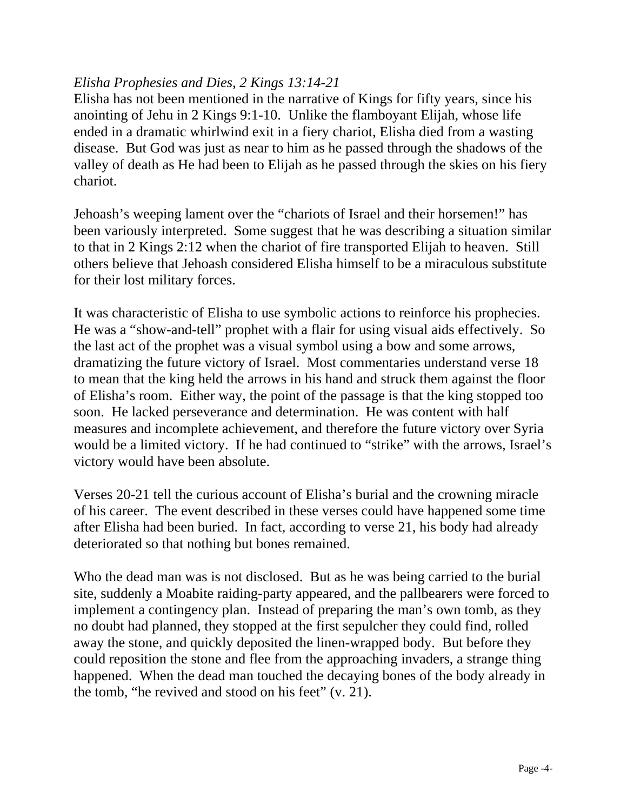## *Elisha Prophesies and Dies, 2 Kings 13:14-21*

Elisha has not been mentioned in the narrative of Kings for fifty years, since his anointing of Jehu in 2 Kings 9:1-10. Unlike the flamboyant Elijah, whose life ended in a dramatic whirlwind exit in a fiery chariot, Elisha died from a wasting disease. But God was just as near to him as he passed through the shadows of the valley of death as He had been to Elijah as he passed through the skies on his fiery chariot.

Jehoash's weeping lament over the "chariots of Israel and their horsemen!" has been variously interpreted. Some suggest that he was describing a situation similar to that in 2 Kings 2:12 when the chariot of fire transported Elijah to heaven. Still others believe that Jehoash considered Elisha himself to be a miraculous substitute for their lost military forces.

It was characteristic of Elisha to use symbolic actions to reinforce his prophecies. He was a "show-and-tell" prophet with a flair for using visual aids effectively. So the last act of the prophet was a visual symbol using a bow and some arrows, dramatizing the future victory of Israel. Most commentaries understand verse 18 to mean that the king held the arrows in his hand and struck them against the floor of Elisha's room. Either way, the point of the passage is that the king stopped too soon. He lacked perseverance and determination. He was content with half measures and incomplete achievement, and therefore the future victory over Syria would be a limited victory. If he had continued to "strike" with the arrows, Israel's victory would have been absolute.

Verses 20-21 tell the curious account of Elisha's burial and the crowning miracle of his career. The event described in these verses could have happened some time after Elisha had been buried. In fact, according to verse 21, his body had already deteriorated so that nothing but bones remained.

Who the dead man was is not disclosed. But as he was being carried to the burial site, suddenly a Moabite raiding-party appeared, and the pallbearers were forced to implement a contingency plan. Instead of preparing the man's own tomb, as they no doubt had planned, they stopped at the first sepulcher they could find, rolled away the stone, and quickly deposited the linen-wrapped body. But before they could reposition the stone and flee from the approaching invaders, a strange thing happened. When the dead man touched the decaying bones of the body already in the tomb, "he revived and stood on his feet" (v. 21).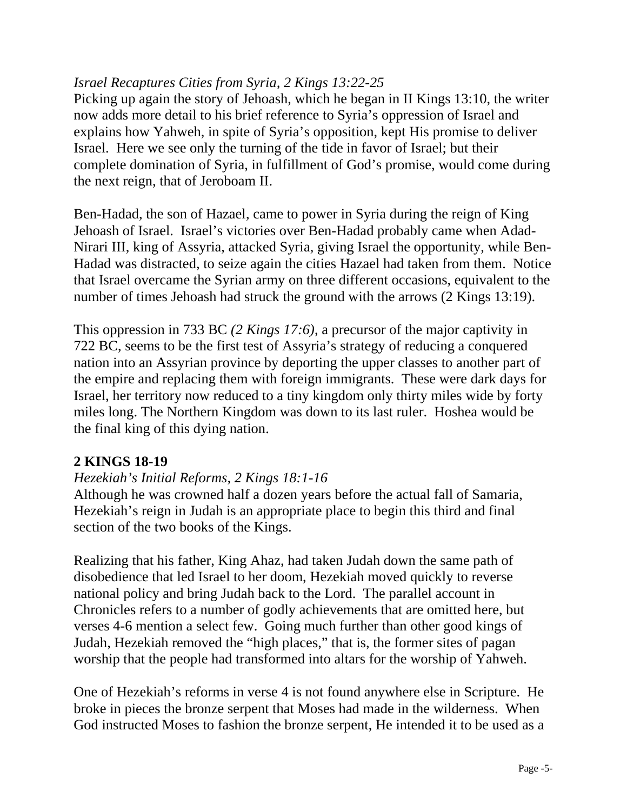## *Israel Recaptures Cities from Syria, 2 Kings 13:22-25*

Picking up again the story of Jehoash, which he began in II Kings 13:10, the writer now adds more detail to his brief reference to Syria's oppression of Israel and explains how Yahweh, in spite of Syria's opposition, kept His promise to deliver Israel. Here we see only the turning of the tide in favor of Israel; but their complete domination of Syria, in fulfillment of God's promise, would come during the next reign, that of Jeroboam II.

Ben-Hadad, the son of Hazael, came to power in Syria during the reign of King Jehoash of Israel. Israel's victories over Ben-Hadad probably came when Adad-Nirari III, king of Assyria, attacked Syria, giving Israel the opportunity, while Ben-Hadad was distracted, to seize again the cities Hazael had taken from them. Notice that Israel overcame the Syrian army on three different occasions, equivalent to the number of times Jehoash had struck the ground with the arrows (2 Kings 13:19).

This oppression in 733 BC *(2 Kings 17:6)*, a precursor of the major captivity in 722 BC, seems to be the first test of Assyria's strategy of reducing a conquered nation into an Assyrian province by deporting the upper classes to another part of the empire and replacing them with foreign immigrants. These were dark days for Israel, her territory now reduced to a tiny kingdom only thirty miles wide by forty miles long. The Northern Kingdom was down to its last ruler. Hoshea would be the final king of this dying nation.

# **2 KINGS 18-19**

## *Hezekiah's Initial Reforms, 2 Kings 18:1-16*

Although he was crowned half a dozen years before the actual fall of Samaria, Hezekiah's reign in Judah is an appropriate place to begin this third and final section of the two books of the Kings.

Realizing that his father, King Ahaz, had taken Judah down the same path of disobedience that led Israel to her doom, Hezekiah moved quickly to reverse national policy and bring Judah back to the Lord. The parallel account in Chronicles refers to a number of godly achievements that are omitted here, but verses 4-6 mention a select few. Going much further than other good kings of Judah, Hezekiah removed the "high places," that is, the former sites of pagan worship that the people had transformed into altars for the worship of Yahweh.

One of Hezekiah's reforms in verse 4 is not found anywhere else in Scripture. He broke in pieces the bronze serpent that Moses had made in the wilderness. When God instructed Moses to fashion the bronze serpent, He intended it to be used as a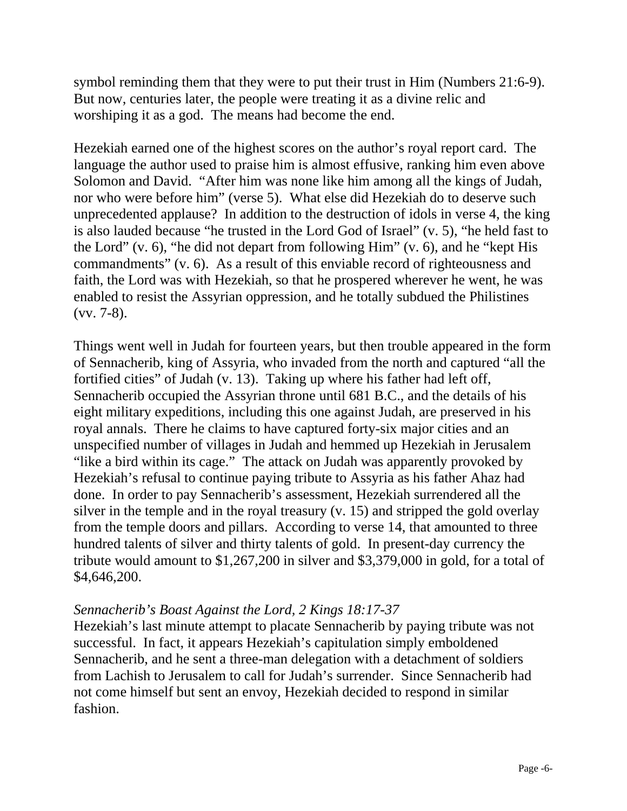symbol reminding them that they were to put their trust in Him (Numbers 21:6-9). But now, centuries later, the people were treating it as a divine relic and worshiping it as a god. The means had become the end.

Hezekiah earned one of the highest scores on the author's royal report card. The language the author used to praise him is almost effusive, ranking him even above Solomon and David. "After him was none like him among all the kings of Judah, nor who were before him" (verse 5). What else did Hezekiah do to deserve such unprecedented applause? In addition to the destruction of idols in verse 4, the king is also lauded because "he trusted in the Lord God of Israel" (v. 5), "he held fast to the Lord"  $(v, 6)$ , "he did not depart from following Him"  $(v, 6)$ , and he "kept His commandments" (v. 6). As a result of this enviable record of righteousness and faith, the Lord was with Hezekiah, so that he prospered wherever he went, he was enabled to resist the Assyrian oppression, and he totally subdued the Philistines (vv. 7-8).

Things went well in Judah for fourteen years, but then trouble appeared in the form of Sennacherib, king of Assyria, who invaded from the north and captured "all the fortified cities" of Judah (v. 13). Taking up where his father had left off, Sennacherib occupied the Assyrian throne until 681 B.C., and the details of his eight military expeditions, including this one against Judah, are preserved in his royal annals. There he claims to have captured forty-six major cities and an unspecified number of villages in Judah and hemmed up Hezekiah in Jerusalem "like a bird within its cage." The attack on Judah was apparently provoked by Hezekiah's refusal to continue paying tribute to Assyria as his father Ahaz had done. In order to pay Sennacherib's assessment, Hezekiah surrendered all the silver in the temple and in the royal treasury (v. 15) and stripped the gold overlay from the temple doors and pillars. According to verse 14, that amounted to three hundred talents of silver and thirty talents of gold. In present-day currency the tribute would amount to \$1,267,200 in silver and \$3,379,000 in gold, for a total of \$4,646,200.

# *Sennacherib's Boast Against the Lord, 2 Kings 18:17-37*

Hezekiah's last minute attempt to placate Sennacherib by paying tribute was not successful. In fact, it appears Hezekiah's capitulation simply emboldened Sennacherib, and he sent a three-man delegation with a detachment of soldiers from Lachish to Jerusalem to call for Judah's surrender. Since Sennacherib had not come himself but sent an envoy, Hezekiah decided to respond in similar fashion.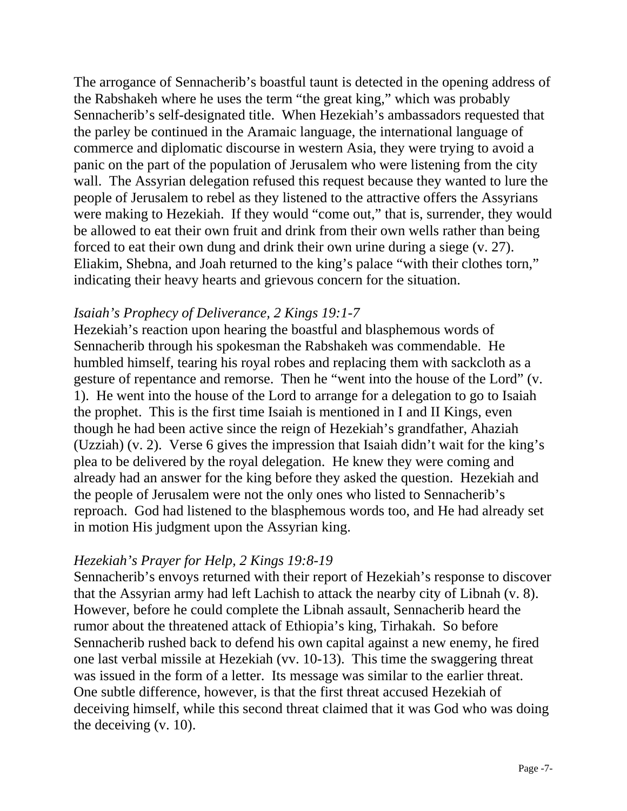The arrogance of Sennacherib's boastful taunt is detected in the opening address of the Rabshakeh where he uses the term "the great king," which was probably Sennacherib's self-designated title. When Hezekiah's ambassadors requested that the parley be continued in the Aramaic language, the international language of commerce and diplomatic discourse in western Asia, they were trying to avoid a panic on the part of the population of Jerusalem who were listening from the city wall. The Assyrian delegation refused this request because they wanted to lure the people of Jerusalem to rebel as they listened to the attractive offers the Assyrians were making to Hezekiah. If they would "come out," that is, surrender, they would be allowed to eat their own fruit and drink from their own wells rather than being forced to eat their own dung and drink their own urine during a siege (v. 27). Eliakim, Shebna, and Joah returned to the king's palace "with their clothes torn," indicating their heavy hearts and grievous concern for the situation.

#### *Isaiah's Prophecy of Deliverance, 2 Kings 19:1-7*

Hezekiah's reaction upon hearing the boastful and blasphemous words of Sennacherib through his spokesman the Rabshakeh was commendable. He humbled himself, tearing his royal robes and replacing them with sackcloth as a gesture of repentance and remorse. Then he "went into the house of the Lord" (v. 1). He went into the house of the Lord to arrange for a delegation to go to Isaiah the prophet. This is the first time Isaiah is mentioned in I and II Kings, even though he had been active since the reign of Hezekiah's grandfather, Ahaziah (Uzziah) (v. 2). Verse 6 gives the impression that Isaiah didn't wait for the king's plea to be delivered by the royal delegation. He knew they were coming and already had an answer for the king before they asked the question. Hezekiah and the people of Jerusalem were not the only ones who listed to Sennacherib's reproach. God had listened to the blasphemous words too, and He had already set in motion His judgment upon the Assyrian king.

## *Hezekiah's Prayer for Help, 2 Kings 19:8-19*

Sennacherib's envoys returned with their report of Hezekiah's response to discover that the Assyrian army had left Lachish to attack the nearby city of Libnah (v. 8). However, before he could complete the Libnah assault, Sennacherib heard the rumor about the threatened attack of Ethiopia's king, Tirhakah. So before Sennacherib rushed back to defend his own capital against a new enemy, he fired one last verbal missile at Hezekiah (vv. 10-13). This time the swaggering threat was issued in the form of a letter. Its message was similar to the earlier threat. One subtle difference, however, is that the first threat accused Hezekiah of deceiving himself, while this second threat claimed that it was God who was doing the deceiving (v. 10).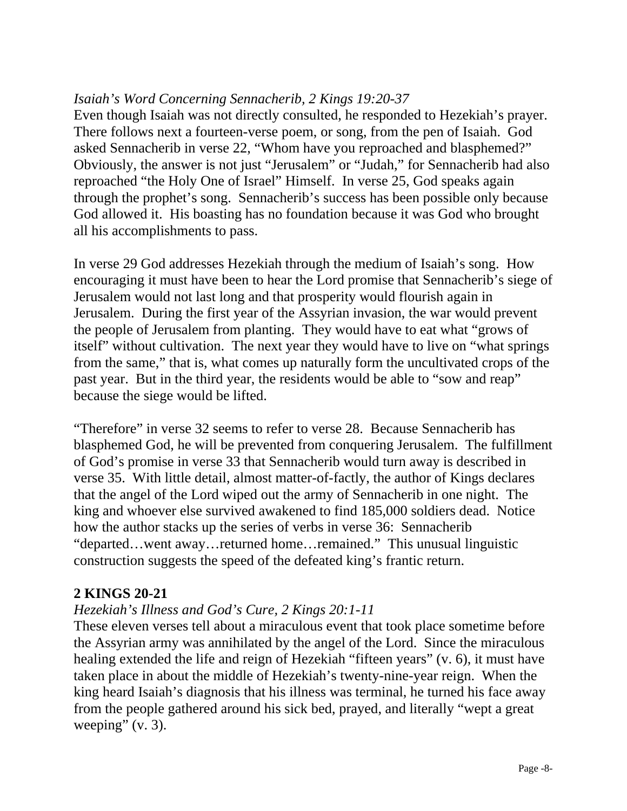## *Isaiah's Word Concerning Sennacherib, 2 Kings 19:20-37*

Even though Isaiah was not directly consulted, he responded to Hezekiah's prayer. There follows next a fourteen-verse poem, or song, from the pen of Isaiah. God asked Sennacherib in verse 22, "Whom have you reproached and blasphemed?" Obviously, the answer is not just "Jerusalem" or "Judah," for Sennacherib had also reproached "the Holy One of Israel" Himself. In verse 25, God speaks again through the prophet's song. Sennacherib's success has been possible only because God allowed it. His boasting has no foundation because it was God who brought all his accomplishments to pass.

In verse 29 God addresses Hezekiah through the medium of Isaiah's song. How encouraging it must have been to hear the Lord promise that Sennacherib's siege of Jerusalem would not last long and that prosperity would flourish again in Jerusalem. During the first year of the Assyrian invasion, the war would prevent the people of Jerusalem from planting. They would have to eat what "grows of itself" without cultivation. The next year they would have to live on "what springs from the same," that is, what comes up naturally form the uncultivated crops of the past year. But in the third year, the residents would be able to "sow and reap" because the siege would be lifted.

"Therefore" in verse 32 seems to refer to verse 28. Because Sennacherib has blasphemed God, he will be prevented from conquering Jerusalem. The fulfillment of God's promise in verse 33 that Sennacherib would turn away is described in verse 35. With little detail, almost matter-of-factly, the author of Kings declares that the angel of the Lord wiped out the army of Sennacherib in one night. The king and whoever else survived awakened to find 185,000 soldiers dead. Notice how the author stacks up the series of verbs in verse 36: Sennacherib "departed…went away…returned home…remained." This unusual linguistic construction suggests the speed of the defeated king's frantic return.

## **2 KINGS 20-21**

# *Hezekiah's Illness and God's Cure, 2 Kings 20:1-11*

These eleven verses tell about a miraculous event that took place sometime before the Assyrian army was annihilated by the angel of the Lord. Since the miraculous healing extended the life and reign of Hezekiah "fifteen years" (v. 6), it must have taken place in about the middle of Hezekiah's twenty-nine-year reign. When the king heard Isaiah's diagnosis that his illness was terminal, he turned his face away from the people gathered around his sick bed, prayed, and literally "wept a great weeping"  $(v. 3)$ .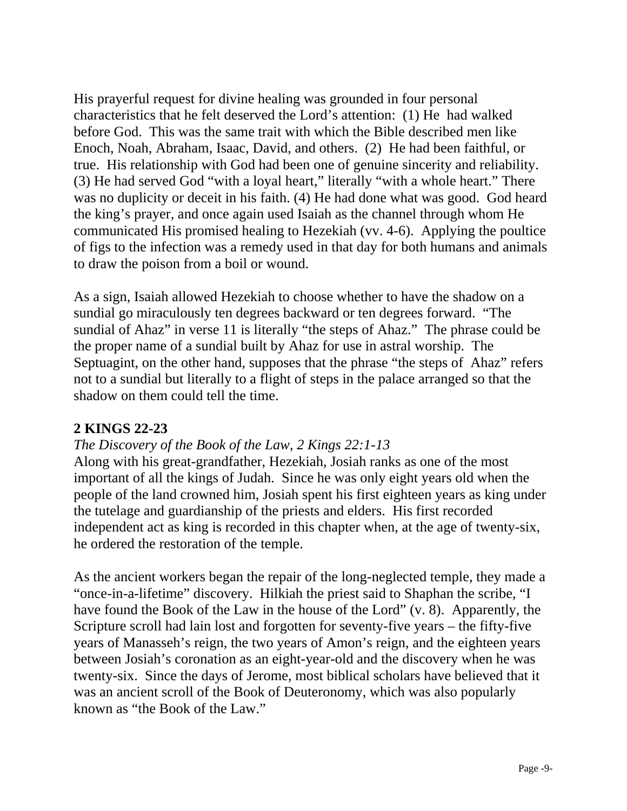His prayerful request for divine healing was grounded in four personal characteristics that he felt deserved the Lord's attention: (1) He had walked before God. This was the same trait with which the Bible described men like Enoch, Noah, Abraham, Isaac, David, and others. (2) He had been faithful, or true. His relationship with God had been one of genuine sincerity and reliability. (3) He had served God "with a loyal heart," literally "with a whole heart." There was no duplicity or deceit in his faith. (4) He had done what was good. God heard the king's prayer, and once again used Isaiah as the channel through whom He communicated His promised healing to Hezekiah (vv. 4-6). Applying the poultice of figs to the infection was a remedy used in that day for both humans and animals to draw the poison from a boil or wound.

As a sign, Isaiah allowed Hezekiah to choose whether to have the shadow on a sundial go miraculously ten degrees backward or ten degrees forward. "The sundial of Ahaz" in verse 11 is literally "the steps of Ahaz." The phrase could be the proper name of a sundial built by Ahaz for use in astral worship. The Septuagint, on the other hand, supposes that the phrase "the steps of Ahaz" refers not to a sundial but literally to a flight of steps in the palace arranged so that the shadow on them could tell the time.

# **2 KINGS 22-23**

## *The Discovery of the Book of the Law, 2 Kings 22:1-13*

Along with his great-grandfather, Hezekiah, Josiah ranks as one of the most important of all the kings of Judah. Since he was only eight years old when the people of the land crowned him, Josiah spent his first eighteen years as king under the tutelage and guardianship of the priests and elders. His first recorded independent act as king is recorded in this chapter when, at the age of twenty-six, he ordered the restoration of the temple.

As the ancient workers began the repair of the long-neglected temple, they made a "once-in-a-lifetime" discovery. Hilkiah the priest said to Shaphan the scribe, "I have found the Book of the Law in the house of the Lord" (v. 8). Apparently, the Scripture scroll had lain lost and forgotten for seventy-five years – the fifty-five years of Manasseh's reign, the two years of Amon's reign, and the eighteen years between Josiah's coronation as an eight-year-old and the discovery when he was twenty-six. Since the days of Jerome, most biblical scholars have believed that it was an ancient scroll of the Book of Deuteronomy, which was also popularly known as "the Book of the Law."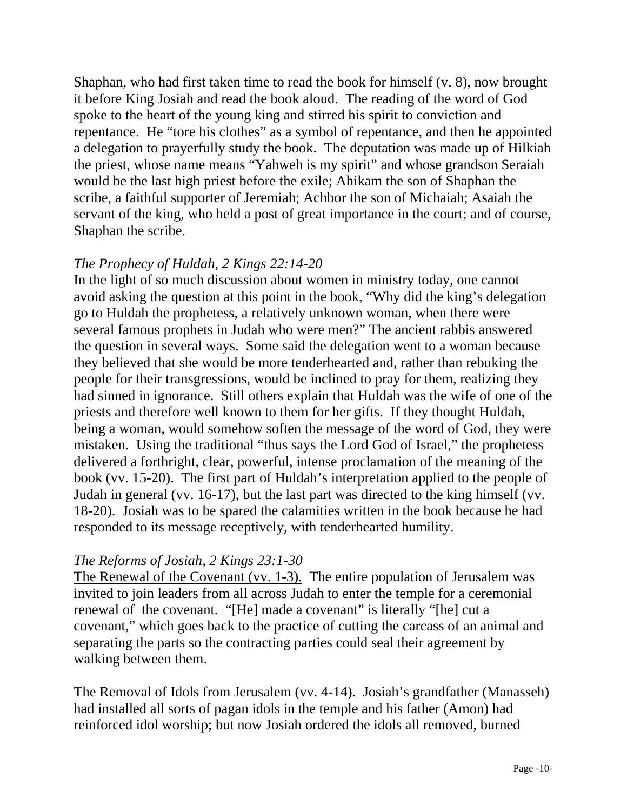Shaphan, who had first taken time to read the book for himself (v. 8), now brought it before King Josiah and read the book aloud. The reading of the word of God spoke to the heart of the young king and stirred his spirit to conviction and repentance. He "tore his clothes" as a symbol of repentance, and then he appointed a delegation to prayerfully study the book. The deputation was made up of Hilkiah the priest, whose name means "Yahweh is my spirit" and whose grandson Seraiah would be the last high priest before the exile; Ahikam the son of Shaphan the scribe, a faithful supporter of Jeremiah; Achbor the son of Michaiah; Asaiah the servant of the king, who held a post of great importance in the court; and of course, Shaphan the scribe.

## *The Prophecy of Huldah, 2 Kings 22:14-20*

In the light of so much discussion about women in ministry today, one cannot avoid asking the question at this point in the book, "Why did the king's delegation go to Huldah the prophetess, a relatively unknown woman, when there were several famous prophets in Judah who were men?" The ancient rabbis answered the question in several ways. Some said the delegation went to a woman because they believed that she would be more tenderhearted and, rather than rebuking the people for their transgressions, would be inclined to pray for them, realizing they had sinned in ignorance. Still others explain that Huldah was the wife of one of the priests and therefore well known to them for her gifts. If they thought Huldah, being a woman, would somehow soften the message of the word of God, they were mistaken. Using the traditional "thus says the Lord God of Israel," the prophetess delivered a forthright, clear, powerful, intense proclamation of the meaning of the book (vv. 15-20). The first part of Huldah's interpretation applied to the people of Judah in general (vv. 16-17), but the last part was directed to the king himself (vv. 18-20). Josiah was to be spared the calamities written in the book because he had responded to its message receptively, with tenderhearted humility.

## *The Reforms of Josiah, 2 Kings 23:1-30*

The Renewal of the Covenant (vv. 1-3). The entire population of Jerusalem was invited to join leaders from all across Judah to enter the temple for a ceremonial renewal of the covenant. "[He] made a covenant" is literally "[he] cut a covenant," which goes back to the practice of cutting the carcass of an animal and separating the parts so the contracting parties could seal their agreement by walking between them.

The Removal of Idols from Jerusalem (vv. 4-14). Josiah's grandfather (Manasseh) had installed all sorts of pagan idols in the temple and his father (Amon) had reinforced idol worship; but now Josiah ordered the idols all removed, burned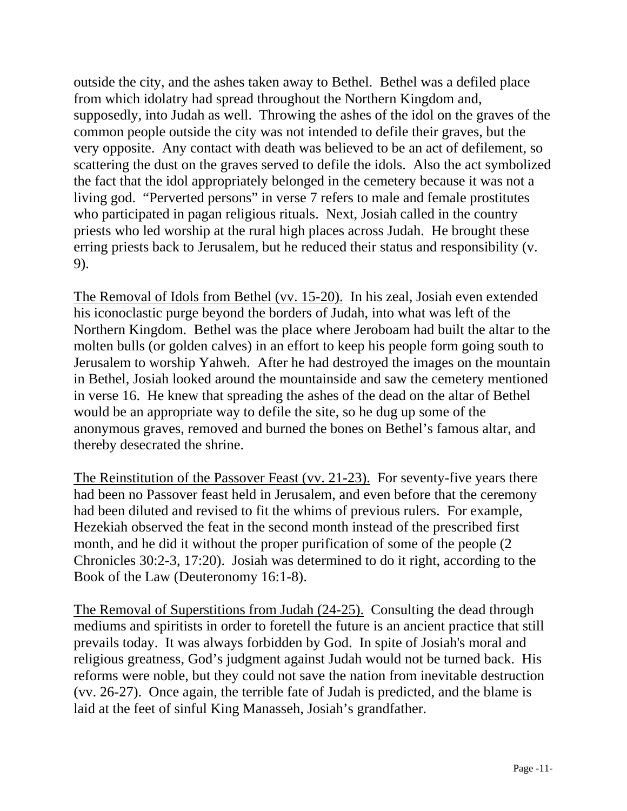outside the city, and the ashes taken away to Bethel. Bethel was a defiled place from which idolatry had spread throughout the Northern Kingdom and, supposedly, into Judah as well. Throwing the ashes of the idol on the graves of the common people outside the city was not intended to defile their graves, but the very opposite. Any contact with death was believed to be an act of defilement, so scattering the dust on the graves served to defile the idols. Also the act symbolized the fact that the idol appropriately belonged in the cemetery because it was not a living god. "Perverted persons" in verse 7 refers to male and female prostitutes who participated in pagan religious rituals. Next, Josiah called in the country priests who led worship at the rural high places across Judah. He brought these erring priests back to Jerusalem, but he reduced their status and responsibility (v. 9).

The Removal of Idols from Bethel (vv. 15-20). In his zeal, Josiah even extended his iconoclastic purge beyond the borders of Judah, into what was left of the Northern Kingdom. Bethel was the place where Jeroboam had built the altar to the molten bulls (or golden calves) in an effort to keep his people form going south to Jerusalem to worship Yahweh. After he had destroyed the images on the mountain in Bethel, Josiah looked around the mountainside and saw the cemetery mentioned in verse 16. He knew that spreading the ashes of the dead on the altar of Bethel would be an appropriate way to defile the site, so he dug up some of the anonymous graves, removed and burned the bones on Bethel's famous altar, and thereby desecrated the shrine.

The Reinstitution of the Passover Feast (vv. 21-23). For seventy-five years there had been no Passover feast held in Jerusalem, and even before that the ceremony had been diluted and revised to fit the whims of previous rulers. For example, Hezekiah observed the feat in the second month instead of the prescribed first month, and he did it without the proper purification of some of the people (2 Chronicles 30:2-3, 17:20). Josiah was determined to do it right, according to the Book of the Law (Deuteronomy 16:1-8).

The Removal of Superstitions from Judah (24-25). Consulting the dead through mediums and spiritists in order to foretell the future is an ancient practice that still prevails today. It was always forbidden by God. In spite of Josiah's moral and religious greatness, God's judgment against Judah would not be turned back. His reforms were noble, but they could not save the nation from inevitable destruction (vv. 26-27). Once again, the terrible fate of Judah is predicted, and the blame is laid at the feet of sinful King Manasseh, Josiah's grandfather.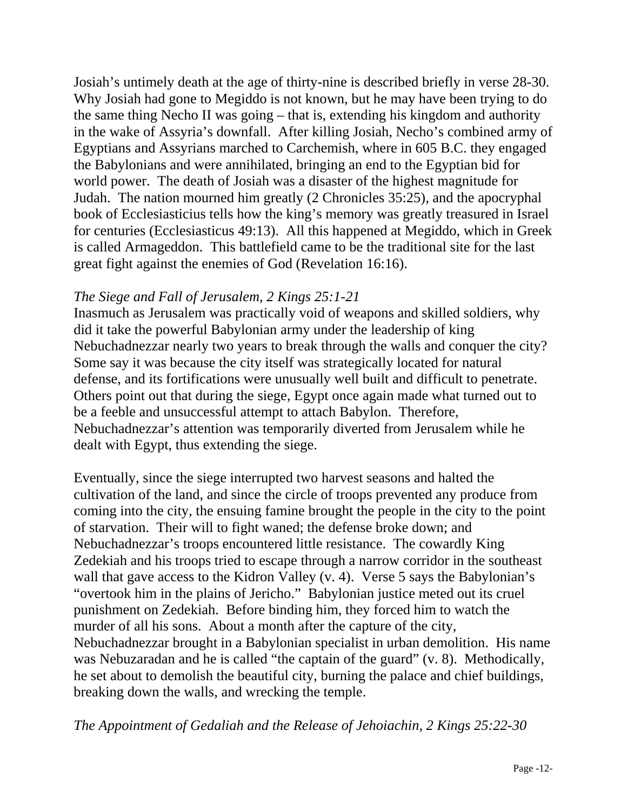Josiah's untimely death at the age of thirty-nine is described briefly in verse 28-30. Why Josiah had gone to Megiddo is not known, but he may have been trying to do the same thing Necho II was going – that is, extending his kingdom and authority in the wake of Assyria's downfall. After killing Josiah, Necho's combined army of Egyptians and Assyrians marched to Carchemish, where in 605 B.C. they engaged the Babylonians and were annihilated, bringing an end to the Egyptian bid for world power. The death of Josiah was a disaster of the highest magnitude for Judah. The nation mourned him greatly (2 Chronicles 35:25), and the apocryphal book of Ecclesiasticius tells how the king's memory was greatly treasured in Israel for centuries (Ecclesiasticus 49:13). All this happened at Megiddo, which in Greek is called Armageddon. This battlefield came to be the traditional site for the last great fight against the enemies of God (Revelation 16:16).

# *The Siege and Fall of Jerusalem, 2 Kings 25:1-21*

Inasmuch as Jerusalem was practically void of weapons and skilled soldiers, why did it take the powerful Babylonian army under the leadership of king Nebuchadnezzar nearly two years to break through the walls and conquer the city? Some say it was because the city itself was strategically located for natural defense, and its fortifications were unusually well built and difficult to penetrate. Others point out that during the siege, Egypt once again made what turned out to be a feeble and unsuccessful attempt to attach Babylon. Therefore, Nebuchadnezzar's attention was temporarily diverted from Jerusalem while he dealt with Egypt, thus extending the siege.

Eventually, since the siege interrupted two harvest seasons and halted the cultivation of the land, and since the circle of troops prevented any produce from coming into the city, the ensuing famine brought the people in the city to the point of starvation. Their will to fight waned; the defense broke down; and Nebuchadnezzar's troops encountered little resistance. The cowardly King Zedekiah and his troops tried to escape through a narrow corridor in the southeast wall that gave access to the Kidron Valley (v. 4). Verse 5 says the Babylonian's "overtook him in the plains of Jericho." Babylonian justice meted out its cruel punishment on Zedekiah. Before binding him, they forced him to watch the murder of all his sons. About a month after the capture of the city, Nebuchadnezzar brought in a Babylonian specialist in urban demolition. His name was Nebuzaradan and he is called "the captain of the guard" (v. 8). Methodically, he set about to demolish the beautiful city, burning the palace and chief buildings, breaking down the walls, and wrecking the temple.

*The Appointment of Gedaliah and the Release of Jehoiachin, 2 Kings 25:22-30*